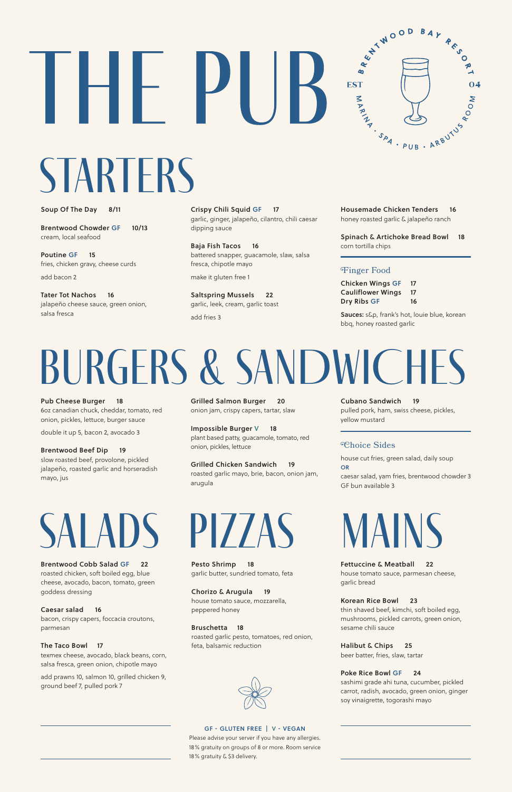

# **STARTERS**

HF

# burgers & SANDWICHES

# salads

Soup Of The Day 8/11

Poutine GF 15 fries, chicken gravy, cheese curds

Brentwood Chowder GF 10/13 cream, local seafood

add bacon 2

Tater Tot Nachos 16 jalapeño cheese sauce, green onion, salsa fresca

Pub Cheese Burger 18 6oz canadian chuck, cheddar, tomato, red onion, pickles, lettuce, burger sauce

double it up 5, bacon 2, avocado 3

Brentwood Beef Dip 19 slow roasted beef, provolone, pickled jalapeño, roasted garlic and horseradish mayo, jus

Brentwood Cobb Salad GF 22 roasted chicken, soft boiled egg, blue cheese, avocado, bacon, tomato, green goddess dressing

Caesar salad 16 bacon, crispy capers, foccacia croutons, parmesan

The Taco Bowl 17 texmex cheese, avocado, black beans, corn, salsa fresca, green onion, chipotle mayo

add prawns 10, salmon 10, grilled chicken 9, ground beef 7, pulled pork 7

pizzaS

Pesto Shrimp 18 garlic butter, sundried tomato, feta

Chorizo & Arugula 19 house tomato sauce, mozzarella, peppered honey

Bruschetta 18

roasted garlic pesto, tomatoes, red onion, feta, balsamic reduction





Fettuccine & Meatball 22 house tomato sauce, parmesan cheese,

garlic bread

Korean Rice Bowl 23

thin shaved beef, kimchi, soft boiled egg, mushrooms, pickled carrots, green onion, sesame chili sauce

Halibut & Chips 25

beer batter, fries, slaw, tartar

### Poke Rice Bowl GF 24

sashimi grade ahi tuna, cucumber, pickled carrot, radish, avocado, green onion, ginger soy vinaigrette, togorashi mayo

Crispy Chili Squid GF 17 garlic, ginger, jalapeño, cilantro, chili caesar dipping sauce

Baja Fish Tacos 16 battered snapper, guacamole, slaw, salsa fresca, chipotle mayo

make it gluten free 1

Saltspring Mussels 22 garlic, leek, cream, garlic toast

add fries 3

Grilled Salmon Burger 20 onion jam, crispy capers, tartar, slaw

Impossible Burger V 18 plant based patty, guacamole, tomato, red onion, pickles, lettuce

Grilled Chicken Sandwich 19 roasted garlic mayo, brie, bacon, onion jam, arugula

Housemade Chicken Tenders 16 honey roasted garlic & jalapeño ranch

Spinach & Artichoke Bread Bowl 18 corn tortilla chips

## Finger Food

| <b>Chicken Wings GF</b>  | 17 |
|--------------------------|----|
| <b>Cauliflower Wings</b> | 17 |
| Dry Ribs GF              | 16 |

Sauces: s&p, frank's hot, louie blue, korean bbq, honey roasted garlic

# Choice Sides

house cut fries, green salad, daily soup OR

caesar salad, yam fries, brentwood chowder 3 GF bun available 3

Cubano Sandwich 19 pulled pork, ham, swiss cheese, pickles, yellow mustard

### GF - GLUTEN FREE | V - VEGAN

Please advise your server if you have any allergies. 18% gratuity on groups of 8 or more. Room service 18% gratuity & \$3 delivery.